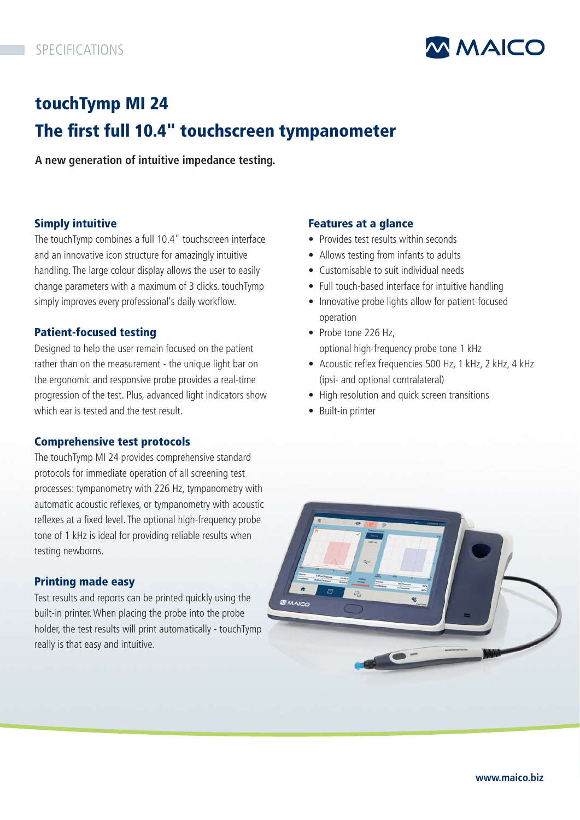

# touchTymp MI 24 The first full 10.4" touchscreen tympanometer

**A new generation of intuitive impedance testing.**

## Simply intuitive

The touchTymp combines a full 10.4" touchscreen interface and an innovative icon structure for amazingly intuitive handling. The large colour display allows the user to easily change parameters with a maximum of 3 clicks. touchTymp simply improves every professional's daily workflow.

## Patient-focused testing

Designed to help the user remain focused on the patient rather than on the measurement - the unique light bar on the ergonomic and responsive probe provides a real-time progression of the test. Plus, advanced light indicators show which ear is tested and the test result.

## Comprehensive test protocols

The touchTymp MI 24 provides comprehensive standard protocols for immediate operation of all screening test processes: tympanometry with 226 Hz, tympanometry with automatic acoustic reflexes, or tympanometry with acoustic reflexes at a fixed level. The optional high-frequency probe tone of 1 kHz is ideal for providing reliable results when testing newborns.

## Printing made easy

Test results and reports can be printed quickly using the built-in printer. When placing the probe into the probe holder, the test results will print automatically - touchTymp really is that easy and intuitive.

### Features at a glance

- Provides test results within seconds
- Allows testing from infants to adults
- Customisable to suit individual needs
- Full touch-based interface for intuitive handling
- Innovative probe lights allow for patient-focused operation
- Probe tone 226 Hz. optional high-frequency probe tone 1 kHz
- Acoustic reflex frequencies 500 Hz, 1 kHz, 2 kHz, 4 kHz (ipsi- and optional contralateral)
- High resolution and quick screen transitions
- Built-in printer